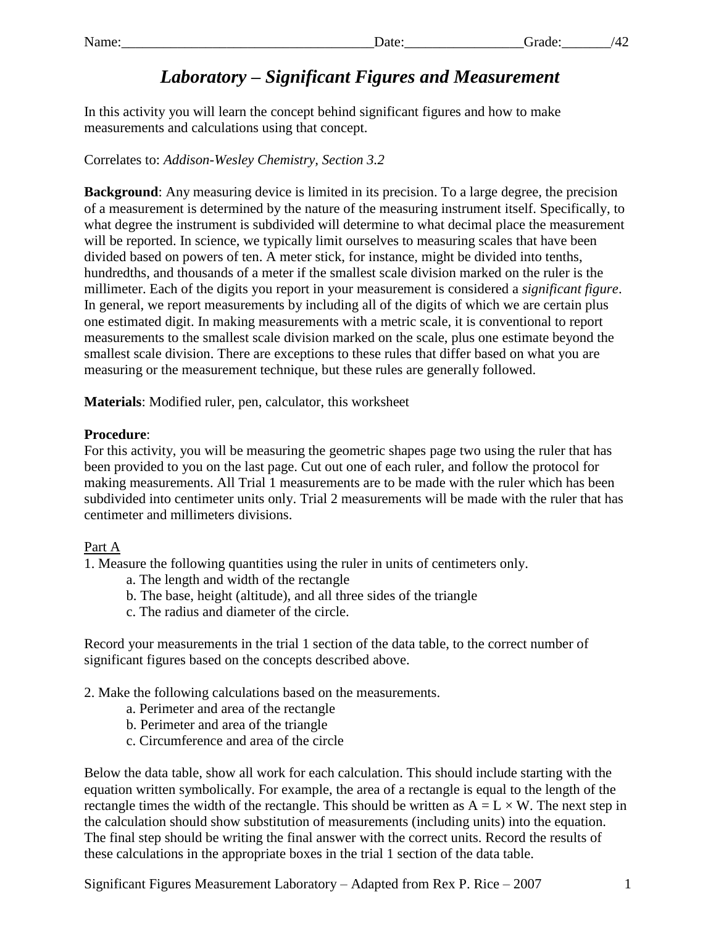# *Laboratory – Significant Figures and Measurement*

In this activity you will learn the concept behind significant figures and how to make measurements and calculations using that concept.

Correlates to: *Addison-Wesley Chemistry, Section 3.2*

**Background**: Any measuring device is limited in its precision. To a large degree, the precision of a measurement is determined by the nature of the measuring instrument itself. Specifically, to what degree the instrument is subdivided will determine to what decimal place the measurement will be reported. In science, we typically limit ourselves to measuring scales that have been divided based on powers of ten. A meter stick, for instance, might be divided into tenths, hundredths, and thousands of a meter if the smallest scale division marked on the ruler is the millimeter. Each of the digits you report in your measurement is considered a *significant figure*. In general, we report measurements by including all of the digits of which we are certain plus one estimated digit. In making measurements with a metric scale, it is conventional to report measurements to the smallest scale division marked on the scale, plus one estimate beyond the smallest scale division. There are exceptions to these rules that differ based on what you are measuring or the measurement technique, but these rules are generally followed.

**Materials**: Modified ruler, pen, calculator, this worksheet

## **Procedure**:

For this activity, you will be measuring the geometric shapes page two using the ruler that has been provided to you on the last page. Cut out one of each ruler, and follow the protocol for making measurements. All Trial 1 measurements are to be made with the ruler which has been subdivided into centimeter units only. Trial 2 measurements will be made with the ruler that has centimeter and millimeters divisions.

## Part A

1. Measure the following quantities using the ruler in units of centimeters only.

- a. The length and width of the rectangle
- b. The base, height (altitude), and all three sides of the triangle
- c. The radius and diameter of the circle.

Record your measurements in the trial 1 section of the data table, to the correct number of significant figures based on the concepts described above.

- 2. Make the following calculations based on the measurements.
	- a. Perimeter and area of the rectangle
	- b. Perimeter and area of the triangle
	- c. Circumference and area of the circle

Below the data table, show all work for each calculation. This should include starting with the equation written symbolically. For example, the area of a rectangle is equal to the length of the rectangle times the width of the rectangle. This should be written as  $A = L \times W$ . The next step in the calculation should show substitution of measurements (including units) into the equation. The final step should be writing the final answer with the correct units. Record the results of these calculations in the appropriate boxes in the trial 1 section of the data table.

Significant Figures Measurement Laboratory – Adapted from Rex P. Rice – 2007 1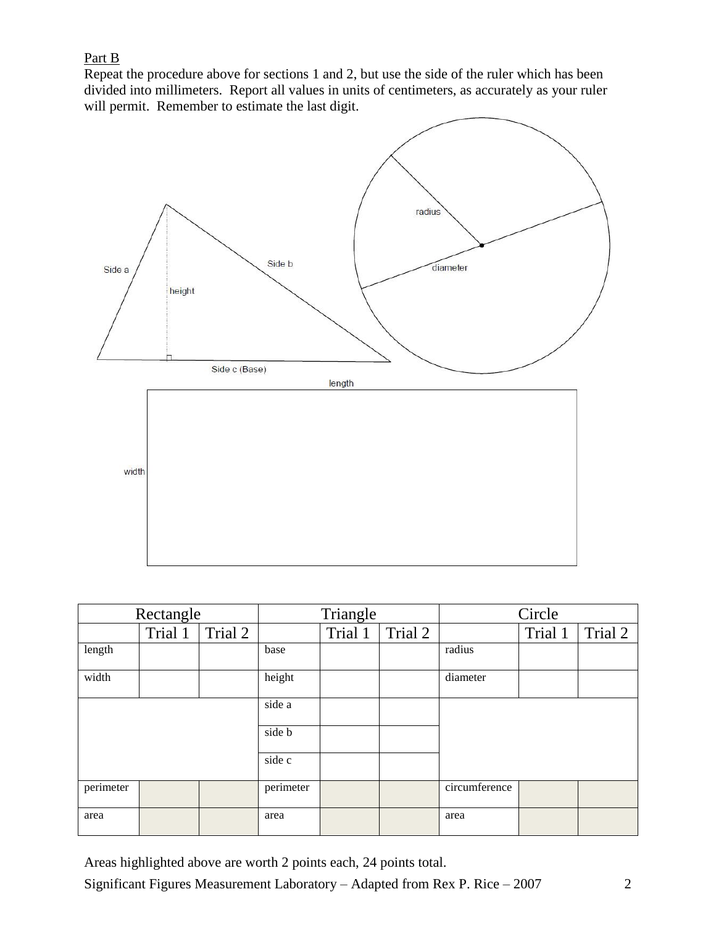## Part B

Repeat the procedure above for sections 1 and 2, but use the side of the ruler which has been divided into millimeters. Report all values in units of centimeters, as accurately as your ruler will permit. Remember to estimate the last digit.



| Rectangle |         |         | Triangle  |         |         | Circle        |         |         |
|-----------|---------|---------|-----------|---------|---------|---------------|---------|---------|
|           | Trial 1 | Trial 2 |           | Trial 1 | Trial 2 |               | Trial 1 | Trial 2 |
| length    |         |         | base      |         |         | radius        |         |         |
| width     |         |         | height    |         |         | diameter      |         |         |
|           |         |         | side a    |         |         |               |         |         |
|           |         |         | side b    |         |         |               |         |         |
|           |         |         | side c    |         |         |               |         |         |
| perimeter |         |         | perimeter |         |         | circumference |         |         |
| area      |         |         | area      |         |         | area          |         |         |

Areas highlighted above are worth 2 points each, 24 points total.

Significant Figures Measurement Laboratory – Adapted from Rex P. Rice – 2007 2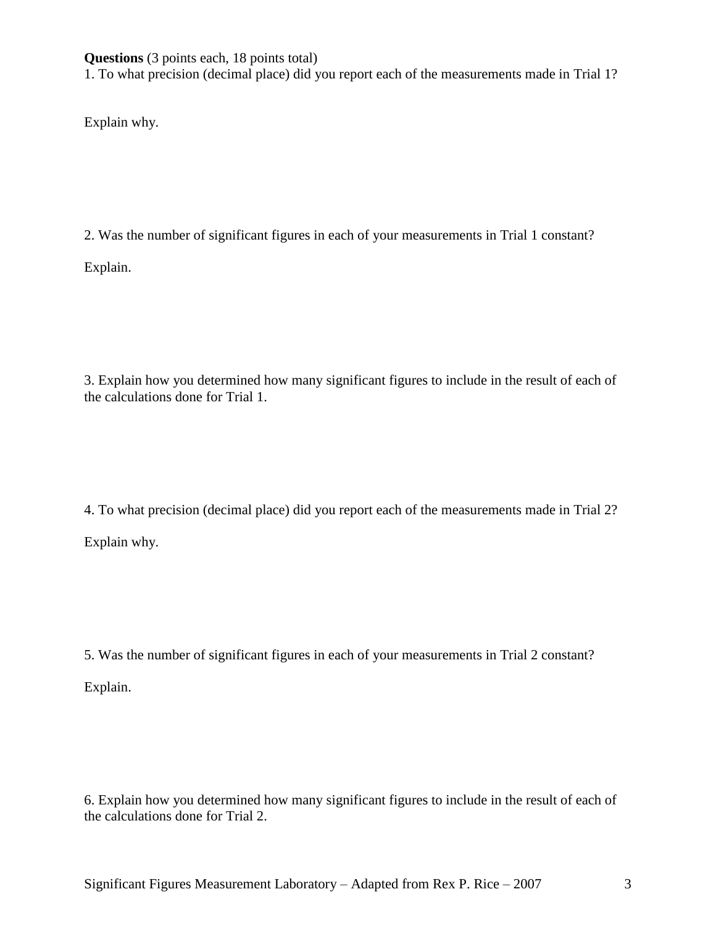**Questions** (3 points each, 18 points total)

1. To what precision (decimal place) did you report each of the measurements made in Trial 1?

Explain why.

2. Was the number of significant figures in each of your measurements in Trial 1 constant?

Explain.

3. Explain how you determined how many significant figures to include in the result of each of the calculations done for Trial 1.

4. To what precision (decimal place) did you report each of the measurements made in Trial 2? Explain why.

5. Was the number of significant figures in each of your measurements in Trial 2 constant?

Explain.

6. Explain how you determined how many significant figures to include in the result of each of the calculations done for Trial 2.